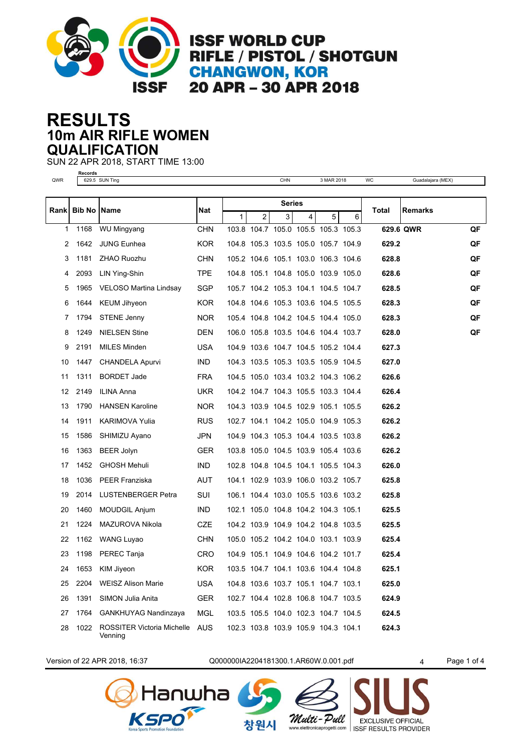

**ISSF WORLD CUP** RIFLE / PISTOL / SHOTGUN **CHANGWON, KOR** 20 APR - 30 APR 2018

## **10m AIR RIFLE WOMEN RESULTS QUALIFICATION**

SUN 22 APR 2018, START TIME 13:00

|     | Records                          |     |              |    |                     |
|-----|----------------------------------|-----|--------------|----|---------------------|
| QWR | SUN<br>629.5<br>1 <sub>Inc</sub> | CHN | 2018<br>∖М∆Б | WC | Guadalaiara<br>(ME) |

| Rank   Bib No   Name |      |                                       | Nat        | <b>Series</b> |                |   |                                     |   |   | Total | Remarks   |    |
|----------------------|------|---------------------------------------|------------|---------------|----------------|---|-------------------------------------|---|---|-------|-----------|----|
|                      |      |                                       |            | $\mathbf{1}$  | $\overline{2}$ | 3 | 4                                   | 5 | 6 |       |           |    |
| 1                    | 1168 | WU Mingyang                           | CHN        |               |                |   | 103.8 104.7 105.0 105.5 105.3 105.3 |   |   |       | 629.6 QWR | QF |
| 2                    | 1642 | <b>JUNG Eunhea</b>                    | <b>KOR</b> |               |                |   | 104.8 105.3 103.5 105.0 105.7 104.9 |   |   | 629.2 |           | QF |
| 3                    | 1181 | ZHAO Ruozhu                           | CHN        |               |                |   | 105.2 104.6 105.1 103.0 106.3 104.6 |   |   | 628.8 |           | QF |
| 4                    | 2093 | LIN Ying-Shin                         | <b>TPE</b> |               |                |   | 104.8 105.1 104.8 105.0 103.9 105.0 |   |   | 628.6 |           | QF |
| 5                    | 1965 | VELOSO Martina Lindsay                | SGP        |               |                |   | 105.7 104.2 105.3 104.1 104.5 104.7 |   |   | 628.5 |           | QF |
| 6                    | 1644 | <b>KEUM Jihyeon</b>                   | <b>KOR</b> |               |                |   | 104.8 104.6 105.3 103.6 104.5 105.5 |   |   | 628.3 |           | QF |
| 7                    | 1794 | <b>STENE Jenny</b>                    | NOR.       |               |                |   | 105.4 104.8 104.2 104.5 104.4 105.0 |   |   | 628.3 |           | QF |
| 8                    | 1249 | <b>NIELSEN Stine</b>                  | DEN        |               |                |   | 106.0 105.8 103.5 104.6 104.4 103.7 |   |   | 628.0 |           | QF |
| 9                    | 2191 | MILES Minden                          | <b>USA</b> |               |                |   | 104.9 103.6 104.7 104.5 105.2 104.4 |   |   | 627.3 |           |    |
| 10                   | 1447 | <b>CHANDELA Apurvi</b>                | <b>IND</b> |               |                |   | 104.3 103.5 105.3 103.5 105.9 104.5 |   |   | 627.0 |           |    |
| 11                   | 1311 | <b>BORDET Jade</b>                    | <b>FRA</b> |               |                |   | 104.5 105.0 103.4 103.2 104.3 106.2 |   |   | 626.6 |           |    |
| 12                   | 2149 | ILINA Anna                            | UKR        |               |                |   | 104.2 104.7 104.3 105.5 103.3 104.4 |   |   | 626.4 |           |    |
| 13                   | 1790 | <b>HANSEN Karoline</b>                | NOR.       |               |                |   | 104.3 103.9 104.5 102.9 105.1 105.5 |   |   | 626.2 |           |    |
| 14                   | 1911 | KARIMOVA Yulia                        | <b>RUS</b> |               |                |   | 102.7 104.1 104.2 105.0 104.9 105.3 |   |   | 626.2 |           |    |
| 15                   | 1586 | SHIMIZU Ayano                         | <b>JPN</b> |               |                |   | 104.9 104.3 105.3 104.4 103.5 103.8 |   |   | 626.2 |           |    |
| 16                   | 1363 | <b>BEER Jolyn</b>                     | GER        |               |                |   | 103.8 105.0 104.5 103.9 105.4 103.6 |   |   | 626.2 |           |    |
| 17                   | 1452 | <b>GHOSH Mehuli</b>                   | <b>IND</b> |               |                |   | 102.8 104.8 104.5 104.1 105.5 104.3 |   |   | 626.0 |           |    |
| 18                   | 1036 | <b>PEER Franziska</b>                 | <b>AUT</b> |               |                |   | 104.1 102.9 103.9 106.0 103.2 105.7 |   |   | 625.8 |           |    |
| 19                   | 2014 | <b>LUSTENBERGER Petra</b>             | <b>SUI</b> |               |                |   | 106.1 104.4 103.0 105.5 103.6 103.2 |   |   | 625.8 |           |    |
| 20                   | 1460 | MOUDGIL Anjum                         | <b>IND</b> |               |                |   | 102.1 105.0 104.8 104.2 104.3 105.1 |   |   | 625.5 |           |    |
| 21                   | 1224 | MAZUROVA Nikola                       | CZE        |               |                |   | 104.2 103.9 104.9 104.2 104.8 103.5 |   |   | 625.5 |           |    |
| 22                   | 1162 | <b>WANG Luyao</b>                     | <b>CHN</b> |               |                |   | 105.0 105.2 104.2 104.0 103.1 103.9 |   |   | 625.4 |           |    |
| 23                   | 1198 | PEREC Tanja                           | CRO        |               |                |   | 104.9 105.1 104.9 104.6 104.2 101.7 |   |   | 625.4 |           |    |
| 24                   | 1653 | KIM Jiyeon                            | KOR.       |               |                |   | 103.5 104.7 104.1 103.6 104.4 104.8 |   |   | 625.1 |           |    |
| 25                   | 2204 | <b>WEISZ Alison Marie</b>             | <b>USA</b> |               |                |   | 104.8 103.6 103.7 105.1 104.7 103.1 |   |   | 625.0 |           |    |
| 26                   | 1391 | SIMON Julia Anita                     | <b>GER</b> |               |                |   | 102.7 104.4 102.8 106.8 104.7 103.5 |   |   | 624.9 |           |    |
| 27                   | 1764 | <b>GANKHUYAG Nandinzaya</b>           | MGL        |               |                |   | 103.5 105.5 104.0 102.3 104.7 104.5 |   |   | 624.5 |           |    |
| 28                   | 1022 | ROSSITER Victoria Michelle<br>Venning | <b>AUS</b> |               |                |   | 102.3 103.8 103.9 105.9 104.3 104.1 |   |   | 624.3 |           |    |

Version of 22 APR 2018, 16:37 Q000000IA2204181300.1.AR60W.0.001.pdf 4 Page 1 of 4



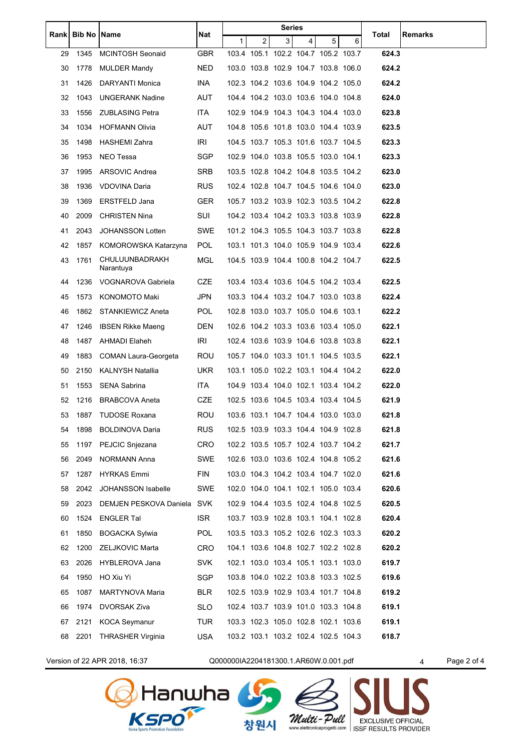| Rank |      | <b>Bib No Name</b>          | Nat        | Series       |   |   |                                     |                |   |       | Remarks |
|------|------|-----------------------------|------------|--------------|---|---|-------------------------------------|----------------|---|-------|---------|
|      |      |                             |            | $\mathbf{1}$ | 2 | 3 | 4                                   | 5 <sup>1</sup> | 6 | Total |         |
| 29   | 1345 | <b>MCINTOSH Seonaid</b>     | GBR        |              |   |   | 103.4 105.1 102.2 104.7 105.2 103.7 |                |   | 624.3 |         |
| 30   | 1778 | <b>MULDER Mandy</b>         | <b>NED</b> |              |   |   | 103.0 103.8 102.9 104.7 103.8 106.0 |                |   | 624.2 |         |
| 31   | 1426 | DARYANTI Monica             | INA.       |              |   |   | 102.3 104.2 103.6 104.9 104.2 105.0 |                |   | 624.2 |         |
| 32   | 1043 | <b>UNGERANK Nadine</b>      | AUT        |              |   |   | 104.4 104.2 103.0 103.6 104.0 104.8 |                |   | 624.0 |         |
| 33   | 1556 | <b>ZUBLASING Petra</b>      | ITA.       |              |   |   | 102.9 104.9 104.3 104.3 104.4 103.0 |                |   | 623.8 |         |
| 34   | 1034 | <b>HOFMANN Olivia</b>       | AUT        |              |   |   | 104.8 105.6 101.8 103.0 104.4 103.9 |                |   | 623.5 |         |
| 35   | 1498 | <b>HASHEMI Zahra</b>        | IRI        |              |   |   | 104.5 103.7 105.3 101.6 103.7 104.5 |                |   | 623.3 |         |
| 36   | 1953 | NEO Tessa                   | SGP        |              |   |   | 102.9 104.0 103.8 105.5 103.0 104.1 |                |   | 623.3 |         |
| 37   | 1995 | ARSOVIC Andrea              | <b>SRB</b> |              |   |   | 103.5 102.8 104.2 104.8 103.5 104.2 |                |   | 623.0 |         |
| 38   | 1936 | VDOVINA Daria               | <b>RUS</b> |              |   |   | 102.4 102.8 104.7 104.5 104.6 104.0 |                |   | 623.0 |         |
| 39   | 1369 | ERSTFELD Jana               | <b>GER</b> |              |   |   | 105.7 103.2 103.9 102.3 103.5 104.2 |                |   | 622.8 |         |
| 40   | 2009 | <b>CHRISTEN Nina</b>        | SUI        |              |   |   | 104.2 103.4 104.2 103.3 103.8 103.9 |                |   | 622.8 |         |
| 41   | 2043 | <b>JOHANSSON Lotten</b>     | SWE        |              |   |   | 101.2 104.3 105.5 104.3 103.7 103.8 |                |   | 622.8 |         |
| 42   | 1857 | KOMOROWSKA Katarzyna        | <b>POL</b> |              |   |   | 103.1 101.3 104.0 105.9 104.9 103.4 |                |   | 622.6 |         |
| 43   | 1761 | CHULUUNBADRAKH<br>Narantuya | <b>MGL</b> |              |   |   | 104.5 103.9 104.4 100.8 104.2 104.7 |                |   | 622.5 |         |
| 44   | 1236 | VOGNAROVA Gabriela          | CZE        |              |   |   | 103.4 103.4 103.6 104.5 104.2 103.4 |                |   | 622.5 |         |
| 45   | 1573 | KONOMOTO Maki               | JPN        |              |   |   | 103.3 104.4 103.2 104.7 103.0 103.8 |                |   | 622.4 |         |
| 46   | 1862 | <b>STANKIEWICZ Aneta</b>    | POL.       |              |   |   | 102.8 103.0 103.7 105.0 104.6 103.1 |                |   | 622.2 |         |
| 47   | 1246 | <b>IBSEN Rikke Maeng</b>    | DEN        |              |   |   | 102.6 104.2 103.3 103.6 103.4 105.0 |                |   | 622.1 |         |
| 48   | 1487 | AHMADI Elaheh               | IRI        |              |   |   | 102.4 103.6 103.9 104.6 103.8 103.8 |                |   | 622.1 |         |
| 49   | 1883 | COMAN Laura-Georgeta        | ROU        |              |   |   | 105.7 104.0 103.3 101.1 104.5 103.5 |                |   | 622.1 |         |
| 50   | 2150 | <b>KALNYSH Natallia</b>     | UKR.       |              |   |   | 103.1 105.0 102.2 103.1 104.4 104.2 |                |   | 622.0 |         |
| 51   | 1553 | <b>SENA Sabrina</b>         | ITA.       |              |   |   | 104.9 103.4 104.0 102.1 103.4 104.2 |                |   | 622.0 |         |
| 52   | 1216 | <b>BRABCOVA Aneta</b>       | CZE        |              |   |   | 102.5 103.6 104.5 103.4 103.4 104.5 |                |   | 621.9 |         |
| 53   | 1887 | <b>TUDOSE Roxana</b>        | <b>ROU</b> |              |   |   | 103.6 103.1 104.7 104.4 103.0 103.0 |                |   | 621.8 |         |
| 54   | 1898 | <b>BOLDINOVA Daria</b>      | <b>RUS</b> |              |   |   | 102.5 103.9 103.3 104.4 104.9 102.8 |                |   | 621.8 |         |
| 55   | 1197 | PEJCIC Snjezana             | CRO        |              |   |   | 102.2 103.5 105.7 102.4 103.7 104.2 |                |   | 621.7 |         |
| 56   | 2049 | NORMANN Anna                | <b>SWE</b> |              |   |   | 102.6 103.0 103.6 102.4 104.8 105.2 |                |   | 621.6 |         |
| 57   | 1287 | <b>HYRKAS Emmi</b>          | <b>FIN</b> |              |   |   | 103.0 104.3 104.2 103.4 104.7 102.0 |                |   | 621.6 |         |
| 58   | 2042 | <b>JOHANSSON Isabelle</b>   | SWE        |              |   |   | 102.0 104.0 104.1 102.1 105.0 103.4 |                |   | 620.6 |         |
| 59   | 2023 | DEMJEN PESKOVA Daniela      | <b>SVK</b> |              |   |   | 102.9 104.4 103.5 102.4 104.8 102.5 |                |   | 620.5 |         |
| 60   | 1524 | <b>ENGLER Tal</b>           | <b>ISR</b> |              |   |   | 103.7 103.9 102.8 103.1 104.1 102.8 |                |   | 620.4 |         |
| 61   | 1850 | <b>BOGACKA Sylwia</b>       | <b>POL</b> |              |   |   | 103.5 103.3 105.2 102.6 102.3 103.3 |                |   | 620.2 |         |
| 62   | 1200 | ZELJKOVIC Marta             | CRO        |              |   |   | 104.1 103.6 104.8 102.7 102.2 102.8 |                |   | 620.2 |         |
| 63   | 2026 | HYBLEROVA Jana              | <b>SVK</b> |              |   |   | 102.1 103.0 103.4 105.1 103.1 103.0 |                |   | 619.7 |         |
| 64   | 1950 | HO Xiu Yi                   | SGP        |              |   |   | 103.8 104.0 102.2 103.8 103.3 102.5 |                |   | 619.6 |         |
| 65   | 1087 | MARTYNOVA Maria             | BLR        |              |   |   | 102.5 103.9 102.9 103.4 101.7 104.8 |                |   | 619.2 |         |
| 66   | 1974 | DVORSAK Ziva                | <b>SLO</b> |              |   |   | 102.4 103.7 103.9 101.0 103.3 104.8 |                |   | 619.1 |         |
| 67   | 2121 | KOCA Seymanur               | TUR        |              |   |   | 103.3 102.3 105.0 102.8 102.1 103.6 |                |   | 619.1 |         |
| 68   | 2201 | <b>THRASHER Virginia</b>    | USA        |              |   |   | 103.2 103.1 103.2 102.4 102.5 104.3 |                |   | 618.7 |         |
|      |      |                             |            |              |   |   |                                     |                |   |       |         |



Version of 22 APR 2018, 16:37 Q000000IA2204181300.1.AR60W.0.001.pdf 4 Page 2 of 4

Multi-Pull

**Multi - Pull** EXCLUSIVE OFFICIAL<br>www.elettronicaprogetti.com ISSF RESULTS PROVIDER

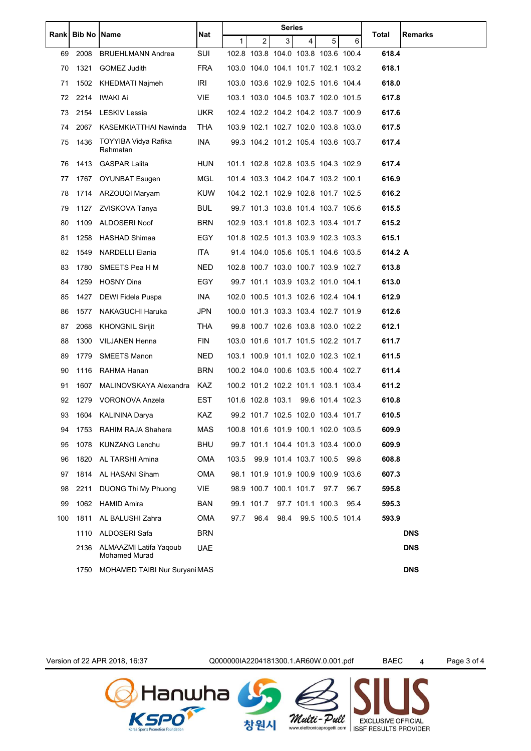|     |             | <b>Name</b>                                    | Nat        |      |                   | Series |                                     |                  | Total |         |            |
|-----|-------------|------------------------------------------------|------------|------|-------------------|--------|-------------------------------------|------------------|-------|---------|------------|
|     | Rank Bib No |                                                |            | 1    | 2                 | 3      | $\overline{4}$                      | 5 <sup>1</sup>   | 6     |         | Remarks    |
| 69  | 2008        | <b>BRUEHLMANN Andrea</b>                       | SUI        |      |                   |        | 102.8 103.8 104.0 103.8 103.6 100.4 |                  |       | 618.4   |            |
| 70  | 1321        | GOMEZ Judith                                   | FRA        |      |                   |        | 103.0 104.0 104.1 101.7 102.1 103.2 |                  |       | 618.1   |            |
| 71  | 1502        | KHEDMATI Najmeh                                | IRI        |      |                   |        | 103.0 103.6 102.9 102.5 101.6 104.4 |                  |       | 618.0   |            |
| 72  | 2214        | IWAKI Ai                                       | VIE.       |      |                   |        | 103.1 103.0 104.5 103.7 102.0 101.5 |                  |       | 617.8   |            |
| 73  |             | 2154 LESKIV Lessia                             | UKR.       |      |                   |        | 102.4 102.2 104.2 104.2 103.7 100.9 |                  |       | 617.6   |            |
| 74  | 2067        | KASEMKIATTHAI Nawinda                          | THA        |      |                   |        | 103.9 102.1 102.7 102.0 103.8 103.0 |                  |       | 617.5   |            |
| 75  | 1436        | TOYYIBA Vidya Rafika<br>Rahmatan               | INA        |      |                   |        | 99.3 104.2 101.2 105.4 103.6 103.7  |                  |       | 617.4   |            |
| 76  | 1413        | <b>GASPAR Lalita</b>                           | HUN        |      |                   |        | 101.1 102.8 102.8 103.5 104.3 102.9 |                  |       | 617.4   |            |
| 77  | 1767        | <b>OYUNBAT Esugen</b>                          | MGL        |      |                   |        | 101.4 103.3 104.2 104.7 103.2 100.1 |                  |       | 616.9   |            |
| 78  | 1714        | ARZOUQI Maryam                                 | <b>KUW</b> |      |                   |        | 104.2 102.1 102.9 102.8 101.7 102.5 |                  |       | 616.2   |            |
| 79  | 1127        | ZVISKOVA Tanya                                 | BUL.       |      |                   |        | 99.7 101.3 103.8 101.4 103.7 105.6  |                  |       | 615.5   |            |
| 80  | 1109        | ALDOSERI Noof                                  | <b>BRN</b> |      |                   |        | 102.9 103.1 101.8 102.3 103.4 101.7 |                  |       | 615.2   |            |
| 81  | 1258        | HASHAD Shimaa                                  | EGY        |      |                   |        | 101.8 102.5 101.3 103.9 102.3 103.3 |                  |       | 615.1   |            |
| 82  | 1549        | NARDELLI Elania                                | ITA.       |      |                   |        | 91.4 104.0 105.6 105.1 104.6 103.5  |                  |       | 614.2 A |            |
| 83  | 1780        | SMEETS Pea H M                                 | NED.       |      |                   |        | 102.8 100.7 103.0 100.7 103.9 102.7 |                  |       | 613.8   |            |
| 84  | 1259        | <b>HOSNY Dina</b>                              | EGY        |      |                   |        | 99.7 101.1 103.9 103.2 101.0 104.1  |                  |       | 613.0   |            |
| 85  | 1427        | DEWI Fidela Puspa                              | INA.       |      |                   |        | 102.0 100.5 101.3 102.6 102.4 104.1 |                  |       | 612.9   |            |
| 86  | 1577        | NAKAGUCHI Haruka                               | JPN        |      |                   |        | 100.0 101.3 103.3 103.4 102.7 101.9 |                  |       | 612.6   |            |
| 87  | 2068        | <b>KHONGNIL Sirijit</b>                        | THA        |      |                   |        | 99.8 100.7 102.6 103.8 103.0 102.2  |                  |       | 612.1   |            |
| 88  | 1300        | <b>VILJANEN Henna</b>                          | <b>FIN</b> |      |                   |        | 103.0 101.6 101.7 101.5 102.2 101.7 |                  |       | 611.7   |            |
| 89  | 1779        | <b>SMEETS Manon</b>                            | NED        |      |                   |        | 103.1 100.9 101.1 102.0 102.3 102.1 |                  |       | 611.5   |            |
| 90  | 1116        | RAHMA Hanan                                    | <b>BRN</b> |      |                   |        | 100.2 104.0 100.6 103.5 100.4 102.7 |                  |       | 611.4   |            |
| 91  | 1607        | MALINOVSKAYA Alexandra                         | KAZ.       |      |                   |        | 100.2 101.2 102.2 101.1 103.1 103.4 |                  |       | 611.2   |            |
| 92  | 1279        | VORONOVA Anzela                                | EST        |      | 101.6 102.8 103.1 |        |                                     | 99.6 101.4 102.3 |       | 610.8   |            |
| 93  | 1604        | <b>KALININA Darya</b>                          | <b>KAZ</b> |      |                   |        | 99.2 101.7 102.5 102.0 103.4 101.7  |                  |       | 610.5   |            |
| 94  | 1753        | RAHIM RAJA Shahera                             | <b>MAS</b> |      |                   |        | 100.8 101.6 101.9 100.1 102.0 103.5 |                  |       | 609.9   |            |
| 95  | 1078        | <b>KUNZANG Lenchu</b>                          | <b>BHU</b> |      |                   |        | 99.7 101.1 104.4 101.3 103.4 100.0  |                  |       | 609.9   |            |
| 96  | 1820        | AL TARSHI Amina                                | <b>OMA</b> |      |                   |        | 103.5 99.9 101.4 103.7 100.5 99.8   |                  |       | 608.8   |            |
| 97  | 1814        | AL HASANI Siham                                | <b>OMA</b> |      |                   |        | 98.1 101.9 101.9 100.9 100.9 103.6  |                  |       | 607.3   |            |
| 98  | 2211        | DUONG Thi My Phuong                            | <b>VIE</b> |      |                   |        | 98.9 100.7 100.1 101.7              | 97.7             | 96.7  | 595.8   |            |
| 99  | 1062        | <b>HAMID Amira</b>                             | BAN        |      |                   |        | 99.1 101.7 97.7 101.1 100.3         |                  | 95.4  | 595.3   |            |
| 100 | 1811        | AL BALUSHI Zahra                               | OMA        | 97.7 | 96.4              | 98.4   |                                     | 99.5 100.5 101.4 |       | 593.9   |            |
|     | 1110        | ALDOSERI Safa                                  | <b>BRN</b> |      |                   |        |                                     |                  |       |         | <b>DNS</b> |
|     | 2136        | ALMAAZMI Latifa Yaqoub<br><b>Mohamed Murad</b> | <b>UAE</b> |      |                   |        |                                     |                  |       |         | <b>DNS</b> |
|     | 1750        | MOHAMED TAIBI Nur Suryani MAS                  |            |      |                   |        |                                     |                  |       |         | <b>DNS</b> |

Version of 22 APR 2018, 16:37

**&** Hanwha<br>Kspor

Q000000IA2204181300.1.AR60W.0.001.pdf

Page 3 of 4





**BAEC** 

 $\overline{4}$